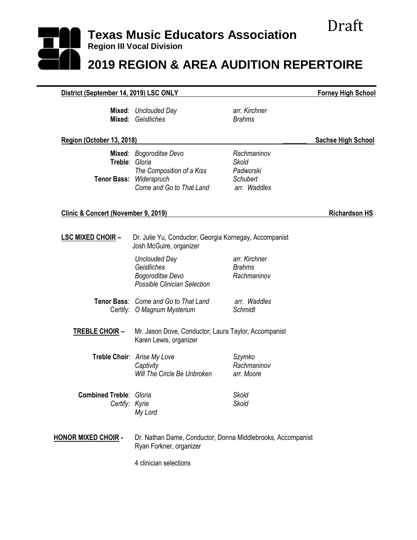## Draft **Texas Music Educators Association Region III Vocal Division 2019 REGION & AREA AUDITION REPERTOIRE**

| District (September 14, 2019) LSC ONLY                      | <b>Forney High School</b>                                                                       |                                                                      |                           |
|-------------------------------------------------------------|-------------------------------------------------------------------------------------------------|----------------------------------------------------------------------|---------------------------|
|                                                             | Mixed: Unclouded Day<br><b>Mixed: Geistliches</b>                                               | arr. Kirchner<br><b>Brahms</b>                                       |                           |
| Region (October 13, 2018)                                   |                                                                                                 |                                                                      | <b>Sachse High School</b> |
| Treble: Gloria<br><b>Tenor Bass:</b>                        | Mixed: Bogoroditse Devo<br>The Composition of a Kiss<br>Widerspruch<br>Come and Go to That Land | Rachmaninov<br>Skold<br>Padworski<br><b>Schubert</b><br>arr. Waddles |                           |
| Clinic & Concert (November 9, 2019)<br><b>Richardson HS</b> |                                                                                                 |                                                                      |                           |
| <b>LSC MIXED CHOIR -</b>                                    | Dr. Julie Yu, Conductor; Georgia Kornegay, Accompanist<br>Josh McGuire, organizer               |                                                                      |                           |
|                                                             | <b>Unclouded Day</b><br>Geistliches<br><b>Bogoroditse Devo</b><br>Possible Clinician Selection  | arr. Kirchner<br><b>Brahms</b><br>Rachmaninov                        |                           |
|                                                             | Tenor Bass: Come and Go to That Land<br>Certify: O Magnum Mysterium                             | arr. Waddles<br>Schmidt                                              |                           |
| <b>TREBLE CHOIR-</b>                                        | Mr. Jason Dove, Conductor; Laura Taylor, Accompanist<br>Karen Lewis, organizer                  |                                                                      |                           |
|                                                             | Treble Choir: Arise My Love<br>Captivity<br>Will The Circle Be Unbroken                         | Szymko<br>Rachmaninov<br>arr. Moore                                  |                           |
| <b>Combined Treble: Gloria</b><br>Certify: Kyrie            | My Lord                                                                                         | Skold<br><b>Skold</b>                                                |                           |
| <b>HONOR MIXED CHOIR -</b>                                  | Dr. Nathan Dame, Conductor, Donna Middlebrooks, Accompanist<br>Ryan Forkner, organizer          |                                                                      |                           |
|                                                             | 4 clinician selections                                                                          |                                                                      |                           |